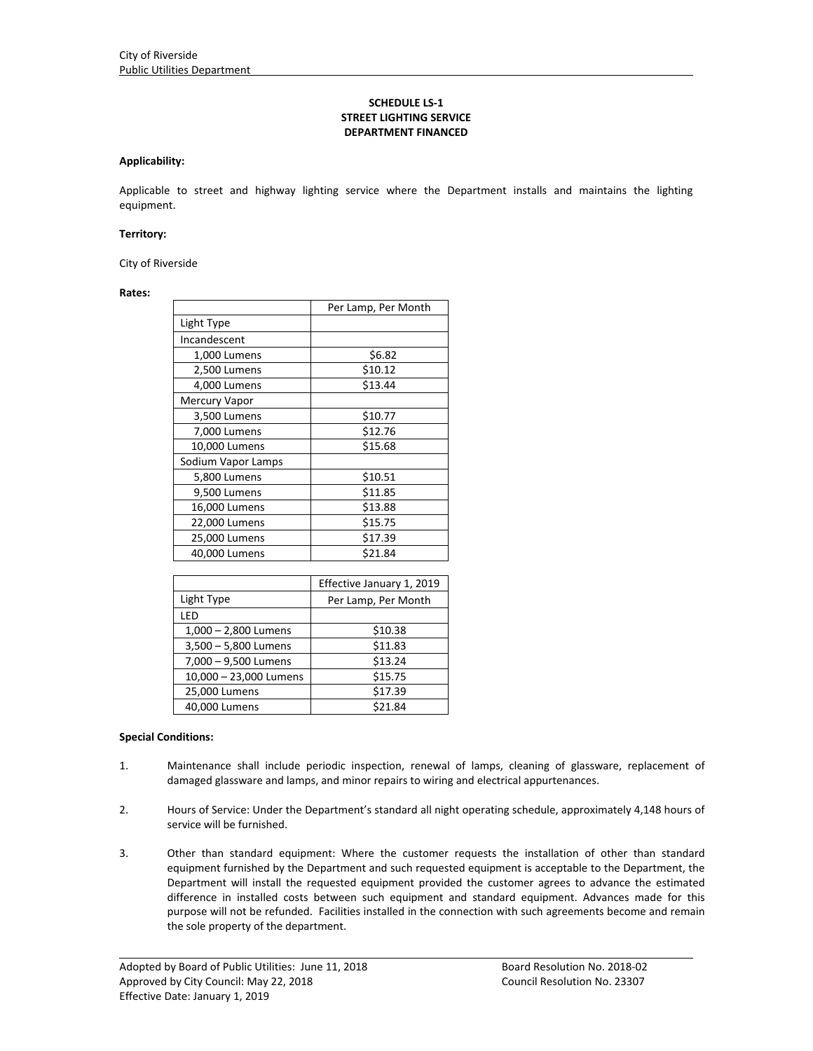# **SCHEDULE LS‐1 STREET LIGHTING SERVICE DEPARTMENT FINANCED**

#### **Applicability:**

Applicable to street and highway lighting service where the Department installs and maintains the lighting equipment.

#### **Territory:**

City of Riverside

#### **Rates:**

|                      | Per Lamp, Per Month |
|----------------------|---------------------|
| Light Type           |                     |
| Incandescent         |                     |
| 1,000 Lumens         | \$6.82              |
| 2,500 Lumens         | \$10.12             |
| 4,000 Lumens         | \$13.44             |
| <b>Mercury Vapor</b> |                     |
| 3,500 Lumens         | \$10.77             |
| 7,000 Lumens         | \$12.76             |
| 10,000 Lumens        | \$15.68             |
| Sodium Vapor Lamps   |                     |
| 5,800 Lumens         | \$10.51             |
| 9,500 Lumens         | \$11.85             |
| 16,000 Lumens        | \$13.88             |
| 22,000 Lumens        | \$15.75             |
| 25,000 Lumens        | \$17.39             |
| 40,000 Lumens        | \$21.84             |

|                        | Effective January 1, 2019 |
|------------------------|---------------------------|
| Light Type             | Per Lamp, Per Month       |
| LED                    |                           |
| $1,000 - 2,800$ Lumens | \$10.38                   |
| $3,500 - 5,800$ Lumens | \$11.83                   |
| 7,000 - 9,500 Lumens   | \$13.24                   |
| 10,000 - 23,000 Lumens | \$15.75                   |
| 25,000 Lumens          | \$17.39                   |
| 40,000 Lumens          | \$21.84                   |

## **Special Conditions:**

- 1. Maintenance shall include periodic inspection, renewal of lamps, cleaning of glassware, replacement of damaged glassware and lamps, and minor repairs to wiring and electrical appurtenances.
- 2. Hours of Service: Under the Department's standard all night operating schedule, approximately 4,148 hours of service will be furnished.
- 3. Other than standard equipment: Where the customer requests the installation of other than standard equipment furnished by the Department and such requested equipment is acceptable to the Department, the Department will install the requested equipment provided the customer agrees to advance the estimated difference in installed costs between such equipment and standard equipment. Advances made for this purpose will not be refunded. Facilities installed in the connection with such agreements become and remain the sole property of the department.

<u> 1989 - Johann Stoff, amerikansk politiker (d. 1989)</u>